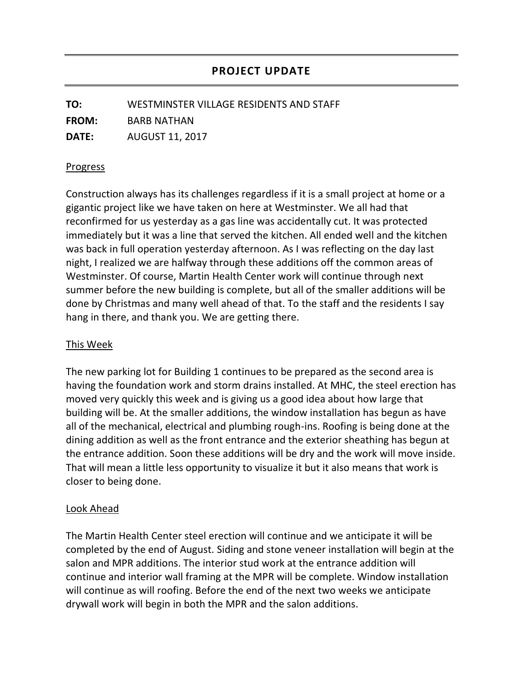**TO:** WESTMINSTER VILLAGE RESIDENTS AND STAFF **FROM:** BARB NATHAN **DATE:** AUGUST 11, 2017

## Progress

Construction always has its challenges regardless if it is a small project at home or a gigantic project like we have taken on here at Westminster. We all had that reconfirmed for us yesterday as a gas line was accidentally cut. It was protected immediately but it was a line that served the kitchen. All ended well and the kitchen was back in full operation yesterday afternoon. As I was reflecting on the day last night, I realized we are halfway through these additions off the common areas of Westminster. Of course, Martin Health Center work will continue through next summer before the new building is complete, but all of the smaller additions will be done by Christmas and many well ahead of that. To the staff and the residents I say hang in there, and thank you. We are getting there.

## This Week

The new parking lot for Building 1 continues to be prepared as the second area is having the foundation work and storm drains installed. At MHC, the steel erection has moved very quickly this week and is giving us a good idea about how large that building will be. At the smaller additions, the window installation has begun as have all of the mechanical, electrical and plumbing rough-ins. Roofing is being done at the dining addition as well as the front entrance and the exterior sheathing has begun at the entrance addition. Soon these additions will be dry and the work will move inside. That will mean a little less opportunity to visualize it but it also means that work is closer to being done.

## Look Ahead

The Martin Health Center steel erection will continue and we anticipate it will be completed by the end of August. Siding and stone veneer installation will begin at the salon and MPR additions. The interior stud work at the entrance addition will continue and interior wall framing at the MPR will be complete. Window installation will continue as will roofing. Before the end of the next two weeks we anticipate drywall work will begin in both the MPR and the salon additions.